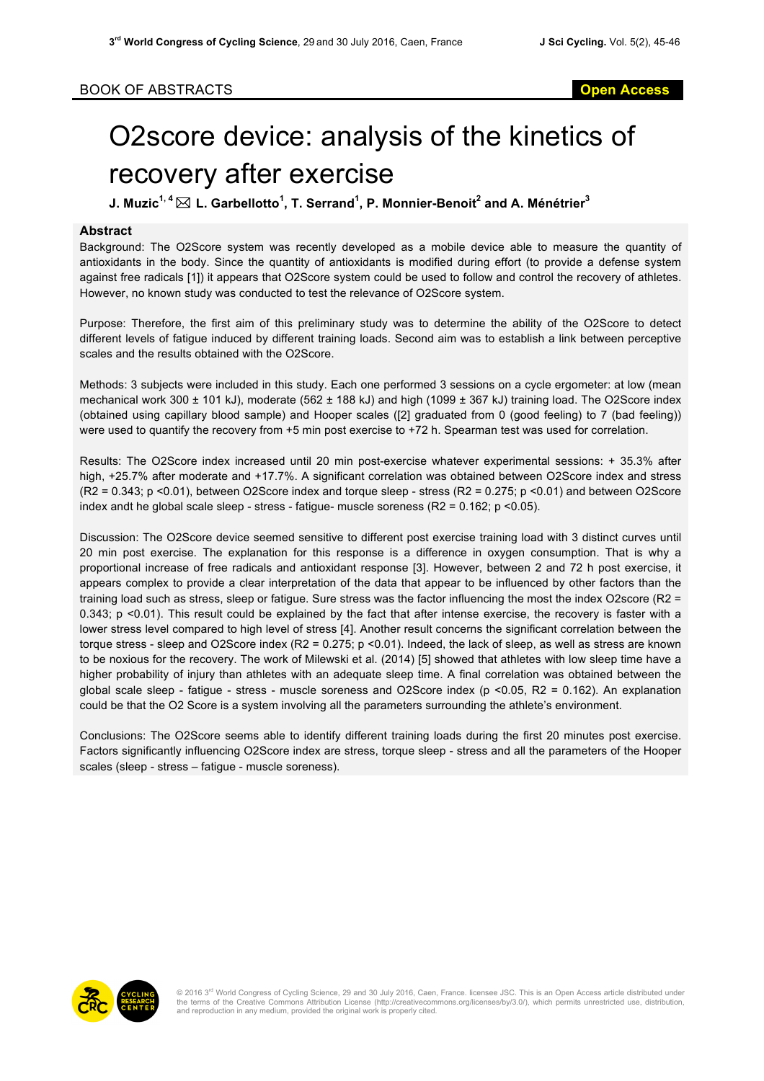## O2score device: analysis of the kinetics of recovery after exercise

**J. Muzic1, 4** \* **L. Garbellotto<sup>1</sup> , T. Serrand<sup>1</sup> , P. Monnier-Benoit<sup>2</sup> and A. Ménétrier<sup>3</sup>**

## **Abstract**

Background: The O2Score system was recently developed as a mobile device able to measure the quantity of antioxidants in the body. Since the quantity of antioxidants is modified during effort (to provide a defense system against free radicals [1]) it appears that O2Score system could be used to follow and control the recovery of athletes. However, no known study was conducted to test the relevance of O2Score system.

Purpose: Therefore, the first aim of this preliminary study was to determine the ability of the O2Score to detect different levels of fatigue induced by different training loads. Second aim was to establish a link between perceptive scales and the results obtained with the O2Score.

Methods: 3 subjects were included in this study. Each one performed 3 sessions on a cycle ergometer: at low (mean mechanical work 300 ± 101 kJ), moderate (562 ± 188 kJ) and high (1099 ± 367 kJ) training load. The O2Score index (obtained using capillary blood sample) and Hooper scales ([2] graduated from 0 (good feeling) to 7 (bad feeling)) were used to quantify the recovery from +5 min post exercise to +72 h. Spearman test was used for correlation.

Results: The O2Score index increased until 20 min post-exercise whatever experimental sessions: + 35.3% after high, +25.7% after moderate and +17.7%. A significant correlation was obtained between O2Score index and stress (R2 = 0.343; p <0.01), between O2Score index and torque sleep - stress (R2 = 0.275; p <0.01) and between O2Score index andt he global scale sleep - stress - fatigue- muscle soreness (R2 = 0.162; p <0.05).

Discussion: The O2Score device seemed sensitive to different post exercise training load with 3 distinct curves until 20 min post exercise. The explanation for this response is a difference in oxygen consumption. That is why a proportional increase of free radicals and antioxidant response [3]. However, between 2 and 72 h post exercise, it appears complex to provide a clear interpretation of the data that appear to be influenced by other factors than the training load such as stress, sleep or fatigue. Sure stress was the factor influencing the most the index O2score (R2 = 0.343; p <0.01). This result could be explained by the fact that after intense exercise, the recovery is faster with a lower stress level compared to high level of stress [4]. Another result concerns the significant correlation between the torque stress - sleep and O2Score index (R2 = 0.275;  $p \le 0.01$ ). Indeed, the lack of sleep, as well as stress are known to be noxious for the recovery. The work of Milewski et al. (2014) [5] showed that athletes with low sleep time have a higher probability of injury than athletes with an adequate sleep time. A final correlation was obtained between the global scale sleep - fatigue - stress - muscle soreness and O2Score index (p <0.05, R2 = 0.162). An explanation could be that the O2 Score is a system involving all the parameters surrounding the athlete's environment.

Conclusions: The O2Score seems able to identify different training loads during the first 20 minutes post exercise. Factors significantly influencing O2Score index are stress, torque sleep - stress and all the parameters of the Hooper scales (sleep - stress – fatigue - muscle soreness).